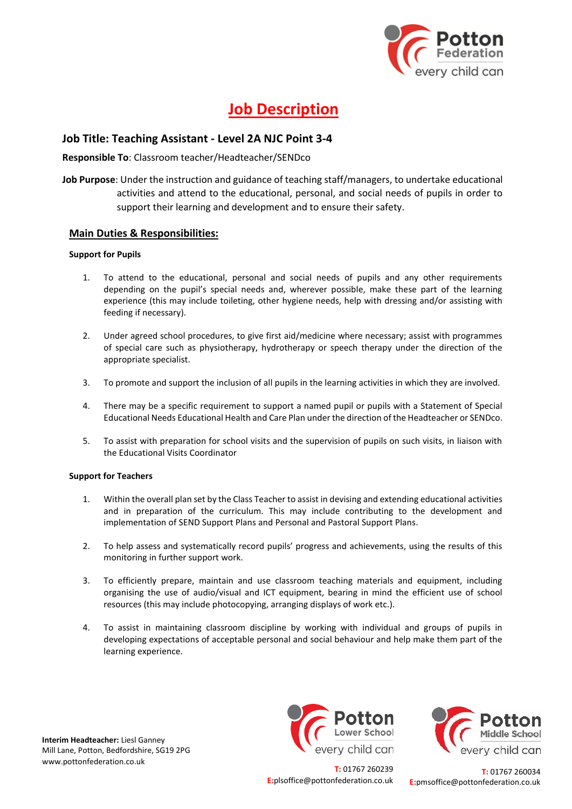

# **Job Description**

## **Job Title: Teaching Assistant - Level 2A NJC Point 3-4**

### **Responsible To**: Classroom teacher/Headteacher/SENDco

**Job Purpose**: Under the instruction and guidance of teaching staff/managers, to undertake educational activities and attend to the educational, personal, and social needs of pupils in order to support their learning and development and to ensure their safety.

## **Main Duties & Responsibilities:**

#### **Support for Pupils**

- 1. To attend to the educational, personal and social needs of pupils and any other requirements depending on the pupil's special needs and, wherever possible, make these part of the learning experience (this may include toileting, other hygiene needs, help with dressing and/or assisting with feeding if necessary).
- 2. Under agreed school procedures, to give first aid/medicine where necessary; assist with programmes of special care such as physiotherapy, hydrotherapy or speech therapy under the direction of the appropriate specialist.
- 3. To promote and support the inclusion of all pupils in the learning activities in which they are involved.
- 4. There may be a specific requirement to support a named pupil or pupils with a Statement of Special Educational Needs Educational Health and Care Plan under the direction of the Headteacher or SENDco.
- 5. To assist with preparation for school visits and the supervision of pupils on such visits, in liaison with the Educational Visits Coordinator

#### **Support for Teachers**

- 1. Within the overall plan set by the Class Teacher to assist in devising and extending educational activities and in preparation of the curriculum. This may include contributing to the development and implementation of SEND Support Plans and Personal and Pastoral Support Plans.
- 2. To help assess and systematically record pupils' progress and achievements, using the results of this monitoring in further support work.
- 3. To efficiently prepare, maintain and use classroom teaching materials and equipment, including organising the use of audio/visual and ICT equipment, bearing in mind the efficient use of school resources (this may include photocopying, arranging displays of work etc.).
- 4. To assist in maintaining classroom discipline by working with individual and groups of pupils in developing expectations of acceptable personal and social behaviour and help make them part of the learning experience.

**Interim Headteacher:** Liesl Ganney Mill Lane, Potton, Bedfordshire, SG19 2PG www.pottonfederation.co.uk





**T:** 01767 260239 **E:**plsoffice@pottonfederation.co.uk

**T:** 01767 260034 **E:**pmsoffice@pottonfederation.co.uk